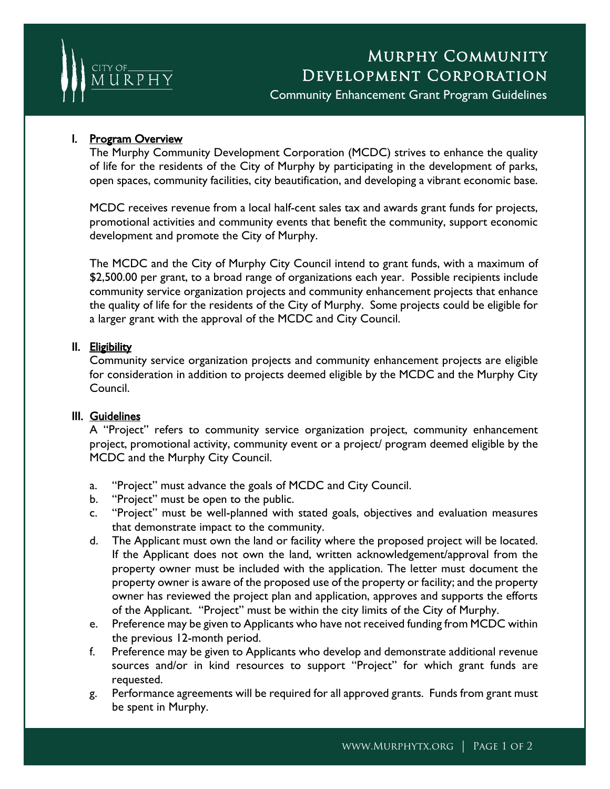

# Murphy Community Development Corporation

Community Enhancement Grant Program Guidelines

## I. Program Overview

The Murphy Community Development Corporation (MCDC) strives to enhance the quality of life for the residents of the City of Murphy by participating in the development of parks, open spaces, community facilities, city beautification, and developing a vibrant economic base.

MCDC receives revenue from a local half-cent sales tax and awards grant funds for projects, promotional activities and community events that benefit the community, support economic development and promote the City of Murphy.

The MCDC and the City of Murphy City Council intend to grant funds, with a maximum of \$2,500.00 per grant, to a broad range of organizations each year. Possible recipients include community service organization projects and community enhancement projects that enhance the quality of life for the residents of the City of Murphy. Some projects could be eligible for a larger grant with the approval of the MCDC and City Council.

### II. Eligibility

Community service organization projects and community enhancement projects are eligible for consideration in addition to projects deemed eligible by the MCDC and the Murphy City Council.

#### III. Guidelines

A "Project" refers to community service organization project, community enhancement project, promotional activity, community event or a project/ program deemed eligible by the MCDC and the Murphy City Council.

- a. "Project" must advance the goals of MCDC and City Council.
- b. "Project" must be open to the public.
- c. "Project" must be well-planned with stated goals, objectives and evaluation measures that demonstrate impact to the community.
- d. The Applicant must own the land or facility where the proposed project will be located. If the Applicant does not own the land, written acknowledgement/approval from the property owner must be included with the application. The letter must document the property owner is aware of the proposed use of the property or facility; and the property owner has reviewed the project plan and application, approves and supports the efforts of the Applicant. "Project" must be within the city limits of the City of Murphy.
- e. Preference may be given to Applicants who have not received funding from MCDC within the previous 12-month period.
- f. Preference may be given to Applicants who develop and demonstrate additional revenue sources and/or in kind resources to support "Project" for which grant funds are requested.
- g. Performance agreements will be required for all approved grants. Funds from grant must be spent in Murphy.